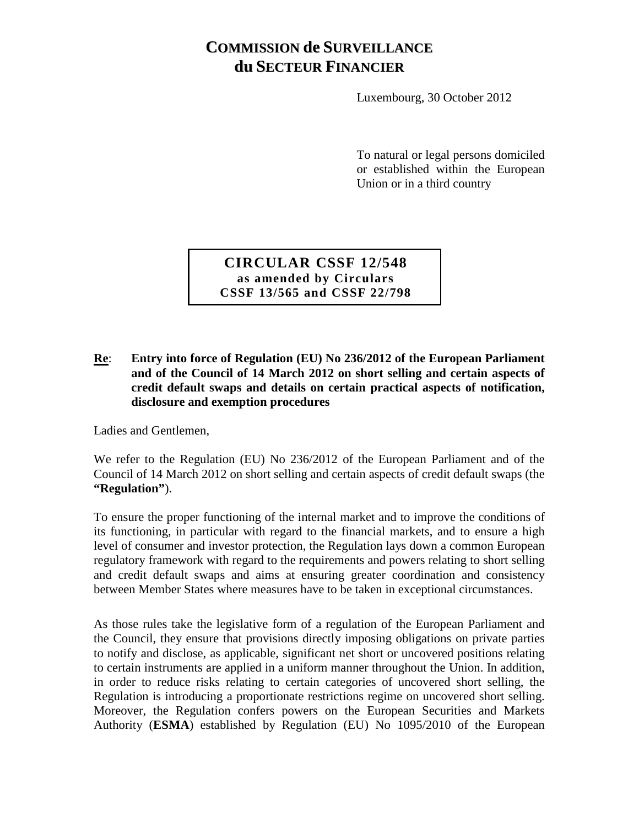# **COMMISSION de SURVEILLANCE du SECTEUR FINANCIER**

Luxembourg, 30 October 2012

To natural or legal persons domiciled or established within the European Union or in a third country

**CIRCULAR CSSF 12/548 as amended by Circulars CSSF 13/565 and CSSF 22/798**

**Re**: **Entry into force of Regulation (EU) No 236/2012 of the European Parliament and of the Council of 14 March 2012 on short selling and certain aspects of credit default swaps and details on certain practical aspects of notification, disclosure and exemption procedures**

Ladies and Gentlemen,

We refer to the Regulation (EU) No 236/2012 of the European Parliament and of the Council of 14 March 2012 on short selling and certain aspects of credit default swaps (the **"Regulation"**).

To ensure the proper functioning of the internal market and to improve the conditions of its functioning, in particular with regard to the financial markets, and to ensure a high level of consumer and investor protection, the Regulation lays down a common European regulatory framework with regard to the requirements and powers relating to short selling and credit default swaps and aims at ensuring greater coordination and consistency between Member States where measures have to be taken in exceptional circumstances.

As those rules take the legislative form of a regulation of the European Parliament and the Council, they ensure that provisions directly imposing obligations on private parties to notify and disclose, as applicable, significant net short or uncovered positions relating to certain instruments are applied in a uniform manner throughout the Union. In addition, in order to reduce risks relating to certain categories of uncovered short selling, the Regulation is introducing a proportionate restrictions regime on uncovered short selling. Moreover, the Regulation confers powers on the European Securities and Markets Authority (**ESMA**) established by Regulation (EU) No 1095/2010 of the European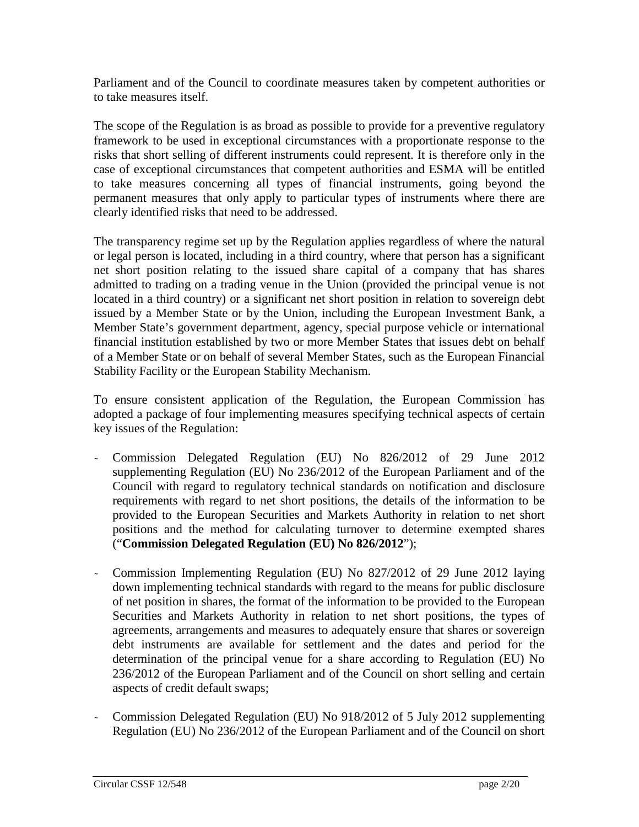Parliament and of the Council to coordinate measures taken by competent authorities or to take measures itself.

The scope of the Regulation is as broad as possible to provide for a preventive regulatory framework to be used in exceptional circumstances with a proportionate response to the risks that short selling of different instruments could represent. It is therefore only in the case of exceptional circumstances that competent authorities and ESMA will be entitled to take measures concerning all types of financial instruments, going beyond the permanent measures that only apply to particular types of instruments where there are clearly identified risks that need to be addressed.

The transparency regime set up by the Regulation applies regardless of where the natural or legal person is located, including in a third country, where that person has a significant net short position relating to the issued share capital of a company that has shares admitted to trading on a trading venue in the Union (provided the principal venue is not located in a third country) or a significant net short position in relation to sovereign debt issued by a Member State or by the Union, including the European Investment Bank, a Member State's government department, agency, special purpose vehicle or international financial institution established by two or more Member States that issues debt on behalf of a Member State or on behalf of several Member States, such as the European Financial Stability Facility or the European Stability Mechanism.

To ensure consistent application of the Regulation, the European Commission has adopted a package of four implementing measures specifying technical aspects of certain key issues of the Regulation:

- Commission Delegated Regulation (EU) No 826/2012 of 29 June 2012 supplementing Regulation (EU) No 236/2012 of the European Parliament and of the Council with regard to regulatory technical standards on notification and disclosure requirements with regard to net short positions, the details of the information to be provided to the European Securities and Markets Authority in relation to net short positions and the method for calculating turnover to determine exempted shares ("**Commission Delegated Regulation (EU) No 826/2012**");
- Commission Implementing Regulation (EU) No 827/2012 of 29 June 2012 laying down implementing technical standards with regard to the means for public disclosure of net position in shares, the format of the information to be provided to the European Securities and Markets Authority in relation to net short positions, the types of agreements, arrangements and measures to adequately ensure that shares or sovereign debt instruments are available for settlement and the dates and period for the determination of the principal venue for a share according to Regulation (EU) No 236/2012 of the European Parliament and of the Council on short selling and certain aspects of credit default swaps;
- Commission Delegated Regulation (EU) No 918/2012 of 5 July 2012 supplementing Regulation (EU) No 236/2012 of the European Parliament and of the Council on short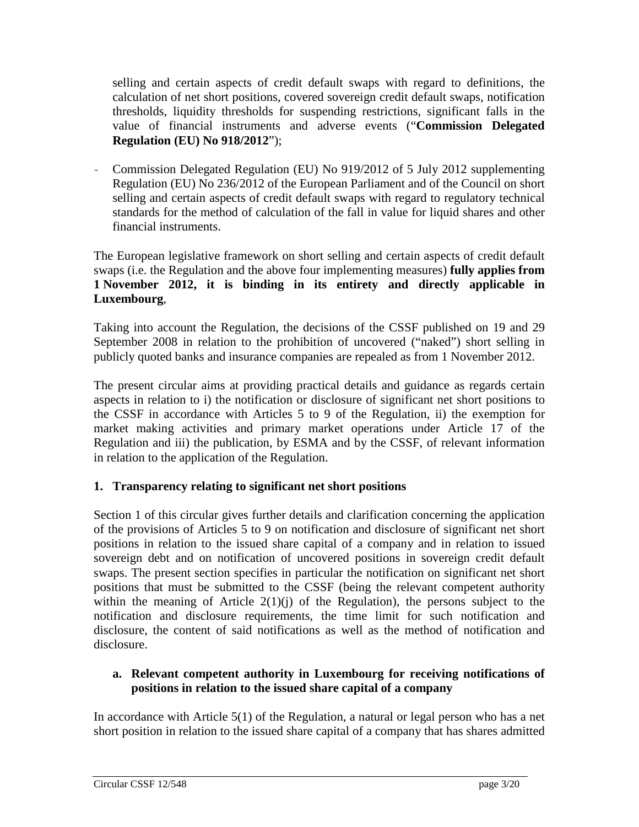selling and certain aspects of credit default swaps with regard to definitions, the calculation of net short positions, covered sovereign credit default swaps, notification thresholds, liquidity thresholds for suspending restrictions, significant falls in the value of financial instruments and adverse events ("**Commission Delegated Regulation (EU) No 918/2012**");

- Commission Delegated Regulation (EU) No 919/2012 of 5 July 2012 supplementing Regulation (EU) No 236/2012 of the European Parliament and of the Council on short selling and certain aspects of credit default swaps with regard to regulatory technical standards for the method of calculation of the fall in value for liquid shares and other financial instruments.

The European legislative framework on short selling and certain aspects of credit default swaps (i.e. the Regulation and the above four implementing measures) **fully applies from 1 November 2012, it is binding in its entirety and directly applicable in Luxembourg**,

Taking into account the Regulation, the decisions of the CSSF published on 19 and 29 September 2008 in relation to the prohibition of uncovered ("naked") short selling in publicly quoted banks and insurance companies are repealed as from 1 November 2012.

The present circular aims at providing practical details and guidance as regards certain aspects in relation to i) the notification or disclosure of significant net short positions to the CSSF in accordance with Articles 5 to 9 of the Regulation, ii) the exemption for market making activities and primary market operations under Article 17 of the Regulation and iii) the publication, by ESMA and by the CSSF, of relevant information in relation to the application of the Regulation.

## **1. Transparency relating to significant net short positions**

Section 1 of this circular gives further details and clarification concerning the application of the provisions of Articles 5 to 9 on notification and disclosure of significant net short positions in relation to the issued share capital of a company and in relation to issued sovereign debt and on notification of uncovered positions in sovereign credit default swaps. The present section specifies in particular the notification on significant net short positions that must be submitted to the CSSF (being the relevant competent authority within the meaning of Article  $2(1)(i)$  of the Regulation), the persons subject to the notification and disclosure requirements, the time limit for such notification and disclosure, the content of said notifications as well as the method of notification and disclosure.

## **a. Relevant competent authority in Luxembourg for receiving notifications of positions in relation to the issued share capital of a company**

In accordance with Article 5(1) of the Regulation, a natural or legal person who has a net short position in relation to the issued share capital of a company that has shares admitted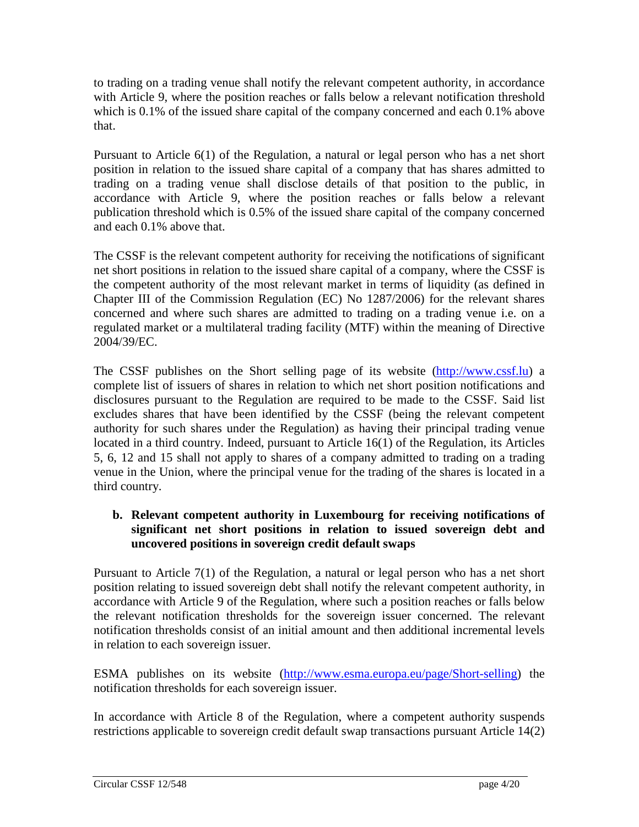to trading on a trading venue shall notify the relevant competent authority, in accordance with Article 9, where the position reaches or falls below a relevant notification threshold which is 0.1% of the issued share capital of the company concerned and each 0.1% above that.

Pursuant to Article 6(1) of the Regulation, a natural or legal person who has a net short position in relation to the issued share capital of a company that has shares admitted to trading on a trading venue shall disclose details of that position to the public, in accordance with Article 9, where the position reaches or falls below a relevant publication threshold which is 0.5% of the issued share capital of the company concerned and each 0.1% above that.

The CSSF is the relevant competent authority for receiving the notifications of significant net short positions in relation to the issued share capital of a company, where the CSSF is the competent authority of the most relevant market in terms of liquidity (as defined in Chapter III of the Commission Regulation (EC) No 1287/2006) for the relevant shares concerned and where such shares are admitted to trading on a trading venue i.e. on a regulated market or a multilateral trading facility (MTF) within the meaning of Directive 2004/39/EC.

The CSSF publishes on the Short selling page of its website [\(http://www.cssf.lu\)](http://www.cssf.lu/) a complete list of issuers of shares in relation to which net short position notifications and disclosures pursuant to the Regulation are required to be made to the CSSF. Said list excludes shares that have been identified by the CSSF (being the relevant competent authority for such shares under the Regulation) as having their principal trading venue located in a third country. Indeed, pursuant to Article 16(1) of the Regulation, its Articles 5, 6, 12 and 15 shall not apply to shares of a company admitted to trading on a trading venue in the Union, where the principal venue for the trading of the shares is located in a third country.

## **b. Relevant competent authority in Luxembourg for receiving notifications of significant net short positions in relation to issued sovereign debt and uncovered positions in sovereign credit default swaps**

Pursuant to Article 7(1) of the Regulation, a natural or legal person who has a net short position relating to issued sovereign debt shall notify the relevant competent authority, in accordance with Article 9 of the Regulation, where such a position reaches or falls below the relevant notification thresholds for the sovereign issuer concerned. The relevant notification thresholds consist of an initial amount and then additional incremental levels in relation to each sovereign issuer.

ESMA publishes on its website [\(http://www.esma.europa.eu/page/Short-selling\)](http://www.esma.europa.eu/page/Short-selling) the notification thresholds for each sovereign issuer.

In accordance with Article 8 of the Regulation, where a competent authority suspends restrictions applicable to sovereign credit default swap transactions pursuant Article 14(2)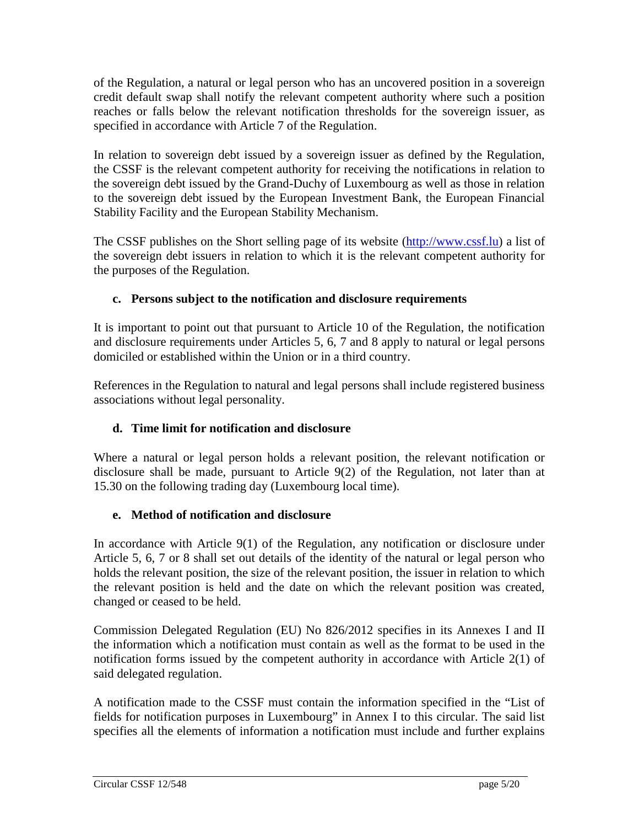of the Regulation, a natural or legal person who has an uncovered position in a sovereign credit default swap shall notify the relevant competent authority where such a position reaches or falls below the relevant notification thresholds for the sovereign issuer, as specified in accordance with Article 7 of the Regulation.

In relation to sovereign debt issued by a sovereign issuer as defined by the Regulation, the CSSF is the relevant competent authority for receiving the notifications in relation to the sovereign debt issued by the Grand-Duchy of Luxembourg as well as those in relation to the sovereign debt issued by the European Investment Bank, the European Financial Stability Facility and the European Stability Mechanism.

The CSSF publishes on the Short selling page of its website [\(http://www.cssf.lu\)](http://www.cssf.lu/) a list of the sovereign debt issuers in relation to which it is the relevant competent authority for the purposes of the Regulation.

## **c. Persons subject to the notification and disclosure requirements**

It is important to point out that pursuant to Article 10 of the Regulation, the notification and disclosure requirements under Articles 5, 6, 7 and 8 apply to natural or legal persons domiciled or established within the Union or in a third country.

References in the Regulation to natural and legal persons shall include registered business associations without legal personality.

# **d. Time limit for notification and disclosure**

Where a natural or legal person holds a relevant position, the relevant notification or disclosure shall be made, pursuant to Article 9(2) of the Regulation, not later than at 15.30 on the following trading day (Luxembourg local time).

## **e. Method of notification and disclosure**

In accordance with Article 9(1) of the Regulation, any notification or disclosure under Article 5, 6, 7 or 8 shall set out details of the identity of the natural or legal person who holds the relevant position, the size of the relevant position, the issuer in relation to which the relevant position is held and the date on which the relevant position was created, changed or ceased to be held.

Commission Delegated Regulation (EU) No 826/2012 specifies in its Annexes I and II the information which a notification must contain as well as the format to be used in the notification forms issued by the competent authority in accordance with Article 2(1) of said delegated regulation.

A notification made to the CSSF must contain the information specified in the "List of fields for notification purposes in Luxembourg" in Annex I to this circular. The said list specifies all the elements of information a notification must include and further explains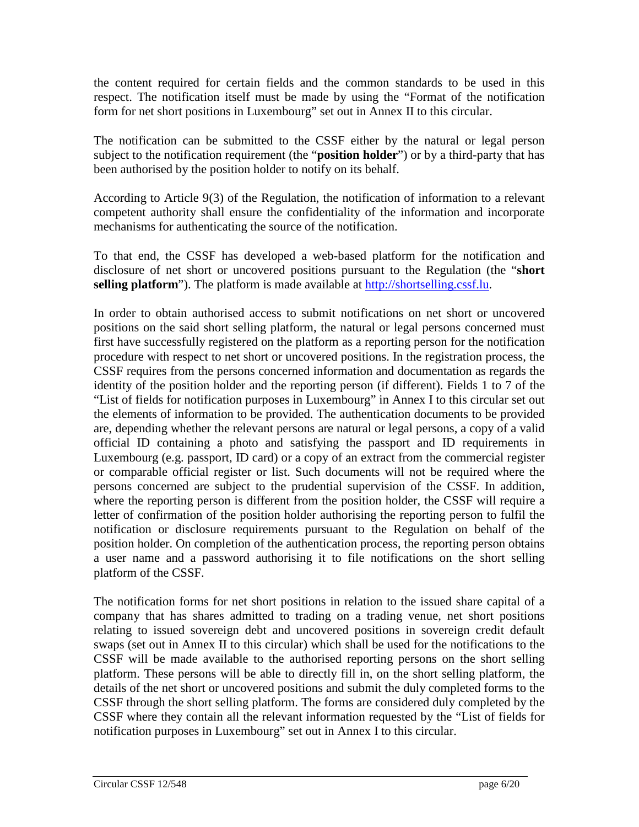the content required for certain fields and the common standards to be used in this respect. The notification itself must be made by using the "Format of the notification form for net short positions in Luxembourg" set out in Annex II to this circular.

The notification can be submitted to the CSSF either by the natural or legal person subject to the notification requirement (the "**position holder**") or by a third-party that has been authorised by the position holder to notify on its behalf.

According to Article 9(3) of the Regulation, the notification of information to a relevant competent authority shall ensure the confidentiality of the information and incorporate mechanisms for authenticating the source of the notification.

To that end, the CSSF has developed a web-based platform for the notification and disclosure of net short or uncovered positions pursuant to the Regulation (the "**short selling platform**"). The platform is made available at [http://shortselling.cssf.lu.](http://shortselling.cssf.lu/)

In order to obtain authorised access to submit notifications on net short or uncovered positions on the said short selling platform, the natural or legal persons concerned must first have successfully registered on the platform as a reporting person for the notification procedure with respect to net short or uncovered positions. In the registration process, the CSSF requires from the persons concerned information and documentation as regards the identity of the position holder and the reporting person (if different). Fields 1 to 7 of the "List of fields for notification purposes in Luxembourg" in Annex I to this circular set out the elements of information to be provided. The authentication documents to be provided are, depending whether the relevant persons are natural or legal persons, a copy of a valid official ID containing a photo and satisfying the passport and ID requirements in Luxembourg (e.g. passport, ID card) or a copy of an extract from the commercial register or comparable official register or list. Such documents will not be required where the persons concerned are subject to the prudential supervision of the CSSF. In addition, where the reporting person is different from the position holder, the CSSF will require a letter of confirmation of the position holder authorising the reporting person to fulfil the notification or disclosure requirements pursuant to the Regulation on behalf of the position holder. On completion of the authentication process, the reporting person obtains a user name and a password authorising it to file notifications on the short selling platform of the CSSF.

The notification forms for net short positions in relation to the issued share capital of a company that has shares admitted to trading on a trading venue, net short positions relating to issued sovereign debt and uncovered positions in sovereign credit default swaps (set out in Annex II to this circular) which shall be used for the notifications to the CSSF will be made available to the authorised reporting persons on the short selling platform. These persons will be able to directly fill in, on the short selling platform, the details of the net short or uncovered positions and submit the duly completed forms to the CSSF through the short selling platform. The forms are considered duly completed by the CSSF where they contain all the relevant information requested by the "List of fields for notification purposes in Luxembourg" set out in Annex I to this circular.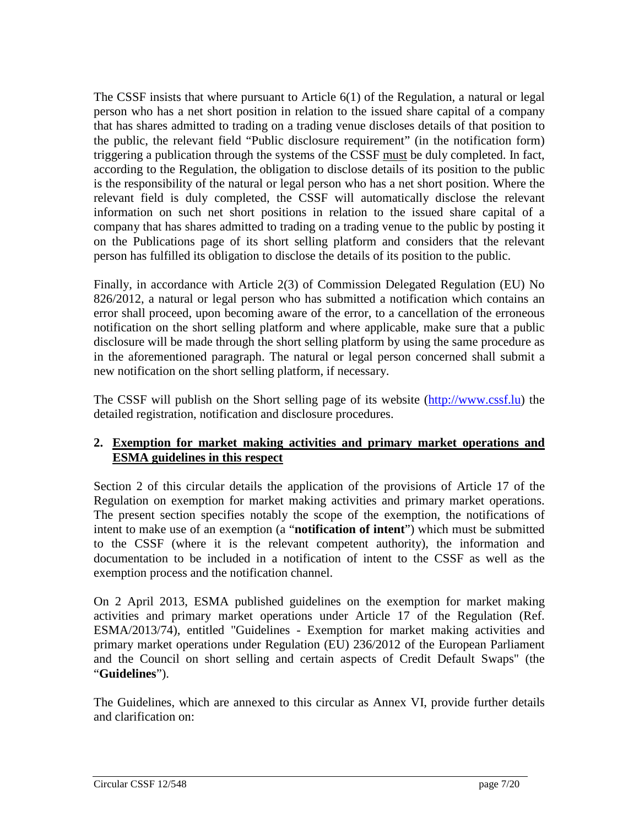The CSSF insists that where pursuant to Article 6(1) of the Regulation, a natural or legal person who has a net short position in relation to the issued share capital of a company that has shares admitted to trading on a trading venue discloses details of that position to the public, the relevant field "Public disclosure requirement" (in the notification form) triggering a publication through the systems of the CSSF must be duly completed. In fact, according to the Regulation, the obligation to disclose details of its position to the public is the responsibility of the natural or legal person who has a net short position. Where the relevant field is duly completed, the CSSF will automatically disclose the relevant information on such net short positions in relation to the issued share capital of a company that has shares admitted to trading on a trading venue to the public by posting it on the Publications page of its short selling platform and considers that the relevant person has fulfilled its obligation to disclose the details of its position to the public.

Finally, in accordance with Article 2(3) of Commission Delegated Regulation (EU) No 826/2012, a natural or legal person who has submitted a notification which contains an error shall proceed, upon becoming aware of the error, to a cancellation of the erroneous notification on the short selling platform and where applicable, make sure that a public disclosure will be made through the short selling platform by using the same procedure as in the aforementioned paragraph. The natural or legal person concerned shall submit a new notification on the short selling platform, if necessary.

The CSSF will publish on the Short selling page of its website [\(http://www.cssf.lu\)](http://www.cssf.lu/) the detailed registration, notification and disclosure procedures.

## **2. Exemption for market making activities and primary market operations and ESMA guidelines in this respect**

Section 2 of this circular details the application of the provisions of Article 17 of the Regulation on exemption for market making activities and primary market operations. The present section specifies notably the scope of the exemption, the notifications of intent to make use of an exemption (a "**notification of intent**") which must be submitted to the CSSF (where it is the relevant competent authority), the information and documentation to be included in a notification of intent to the CSSF as well as the exemption process and the notification channel.

On 2 April 2013, ESMA published guidelines on the exemption for market making activities and primary market operations under Article 17 of the Regulation (Ref. ESMA/2013/74), entitled "Guidelines - Exemption for market making activities and primary market operations under Regulation (EU) 236/2012 of the European Parliament and the Council on short selling and certain aspects of Credit Default Swaps" (the "**Guidelines**").

The Guidelines, which are annexed to this circular as Annex VI, provide further details and clarification on: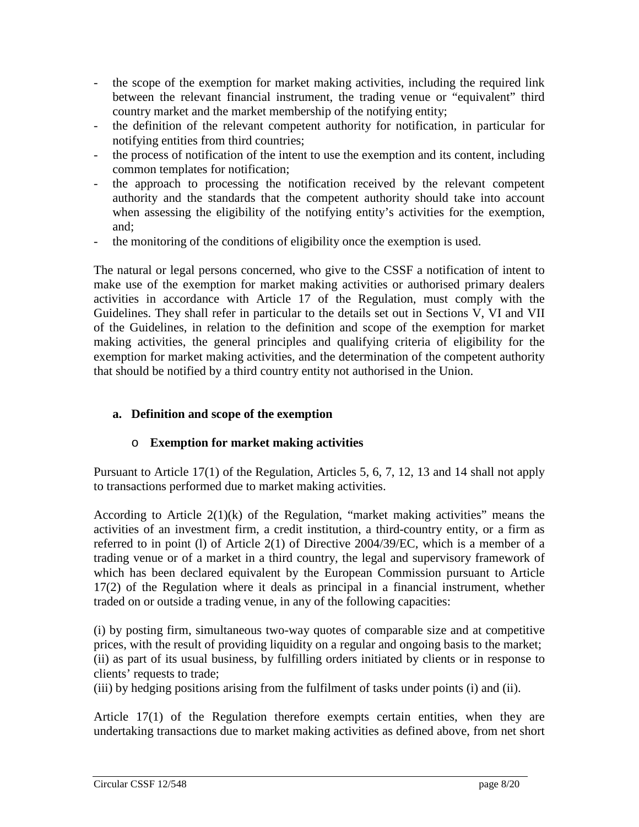- the scope of the exemption for market making activities, including the required link between the relevant financial instrument, the trading venue or "equivalent" third country market and the market membership of the notifying entity;
- the definition of the relevant competent authority for notification, in particular for notifying entities from third countries;
- the process of notification of the intent to use the exemption and its content, including common templates for notification;
- the approach to processing the notification received by the relevant competent authority and the standards that the competent authority should take into account when assessing the eligibility of the notifying entity's activities for the exemption, and;
- the monitoring of the conditions of eligibility once the exemption is used.

The natural or legal persons concerned, who give to the CSSF a notification of intent to make use of the exemption for market making activities or authorised primary dealers activities in accordance with Article 17 of the Regulation, must comply with the Guidelines. They shall refer in particular to the details set out in Sections V, VI and VII of the Guidelines, in relation to the definition and scope of the exemption for market making activities, the general principles and qualifying criteria of eligibility for the exemption for market making activities, and the determination of the competent authority that should be notified by a third country entity not authorised in the Union.

## **a. Definition and scope of the exemption**

## o **Exemption for market making activities**

Pursuant to Article 17(1) of the Regulation, Articles 5, 6, 7, 12, 13 and 14 shall not apply to transactions performed due to market making activities.

According to Article  $2(1)(k)$  of the Regulation, "market making activities" means the activities of an investment firm, a credit institution, a third-country entity, or a firm as referred to in point (l) of Article 2(1) of Directive 2004/39/EC, which is a member of a trading venue or of a market in a third country, the legal and supervisory framework of which has been declared equivalent by the European Commission pursuant to Article 17(2) of the Regulation where it deals as principal in a financial instrument, whether traded on or outside a trading venue, in any of the following capacities:

(i) by posting firm, simultaneous two-way quotes of comparable size and at competitive prices, with the result of providing liquidity on a regular and ongoing basis to the market; (ii) as part of its usual business, by fulfilling orders initiated by clients or in response to clients' requests to trade;

(iii) by hedging positions arising from the fulfilment of tasks under points (i) and (ii).

Article 17(1) of the Regulation therefore exempts certain entities, when they are undertaking transactions due to market making activities as defined above, from net short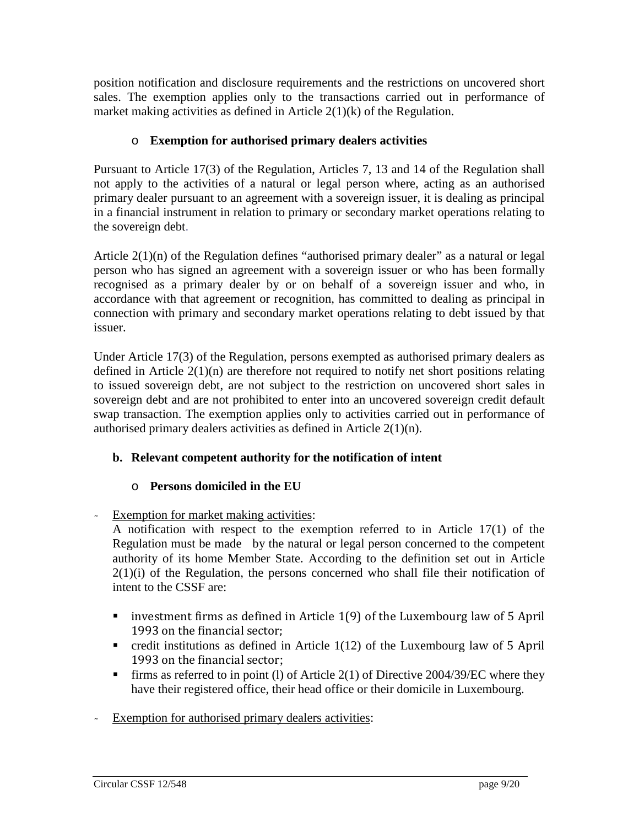position notification and disclosure requirements and the restrictions on uncovered short sales. The exemption applies only to the transactions carried out in performance of market making activities as defined in Article 2(1)(k) of the Regulation.

## o **Exemption for authorised primary dealers activities**

Pursuant to Article 17(3) of the Regulation, Articles 7, 13 and 14 of the Regulation shall not apply to the activities of a natural or legal person where, acting as an authorised primary dealer pursuant to an agreement with a sovereign issuer, it is dealing as principal in a financial instrument in relation to primary or secondary market operations relating to the sovereign debt.

Article  $2(1)(n)$  of the Regulation defines "authorised primary dealer" as a natural or legal person who has signed an agreement with a sovereign issuer or who has been formally recognised as a primary dealer by or on behalf of a sovereign issuer and who, in accordance with that agreement or recognition, has committed to dealing as principal in connection with primary and secondary market operations relating to debt issued by that issuer.

Under Article 17(3) of the Regulation, persons exempted as authorised primary dealers as defined in Article 2(1)(n) are therefore not required to notify net short positions relating to issued sovereign debt, are not subject to the restriction on uncovered short sales in sovereign debt and are not prohibited to enter into an uncovered sovereign credit default swap transaction. The exemption applies only to activities carried out in performance of authorised primary dealers activities as defined in Article 2(1)(n).

# **b. Relevant competent authority for the notification of intent**

## o **Persons domiciled in the EU**

Exemption for market making activities:

A notification with respect to the exemption referred to in Article 17(1) of the Regulation must be made by the natural or legal person concerned to the competent authority of its home Member State. According to the definition set out in Article  $2(1)(i)$  of the Regulation, the persons concerned who shall file their notification of intent to the CSSF are:

- **u** investment firms as defined in Article  $1(9)$  of the Luxembourg law of 5 April 1993 on the financial sector;
- credit institutions as defined in Article  $1(12)$  of the Luxembourg law of 5 April 1993 on the financial sector;
- Firms as referred to in point (1) of Article 2(1) of Directive 2004/39/EC where they have their registered office, their head office or their domicile in Luxembourg.
- Exemption for authorised primary dealers activities: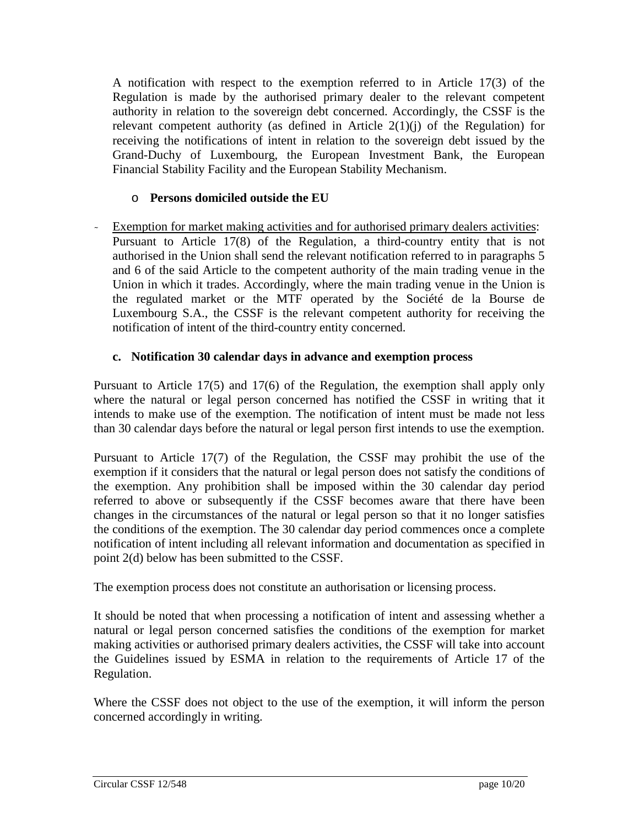A notification with respect to the exemption referred to in Article 17(3) of the Regulation is made by the authorised primary dealer to the relevant competent authority in relation to the sovereign debt concerned. Accordingly, the CSSF is the relevant competent authority (as defined in Article  $2(1)(j)$  of the Regulation) for receiving the notifications of intent in relation to the sovereign debt issued by the Grand-Duchy of Luxembourg, the European Investment Bank, the European Financial Stability Facility and the European Stability Mechanism.

## o **Persons domiciled outside the EU**

- Exemption for market making activities and for authorised primary dealers activities: Pursuant to Article 17(8) of the Regulation, a third-country entity that is not authorised in the Union shall send the relevant notification referred to in paragraphs 5 and 6 of the said Article to the competent authority of the main trading venue in the Union in which it trades. Accordingly, where the main trading venue in the Union is the regulated market or the MTF operated by the Société de la Bourse de Luxembourg S.A., the CSSF is the relevant competent authority for receiving the notification of intent of the third-country entity concerned.

## **c. Notification 30 calendar days in advance and exemption process**

Pursuant to Article 17(5) and 17(6) of the Regulation, the exemption shall apply only where the natural or legal person concerned has notified the CSSF in writing that it intends to make use of the exemption. The notification of intent must be made not less than 30 calendar days before the natural or legal person first intends to use the exemption.

Pursuant to Article 17(7) of the Regulation, the CSSF may prohibit the use of the exemption if it considers that the natural or legal person does not satisfy the conditions of the exemption. Any prohibition shall be imposed within the 30 calendar day period referred to above or subsequently if the CSSF becomes aware that there have been changes in the circumstances of the natural or legal person so that it no longer satisfies the conditions of the exemption. The 30 calendar day period commences once a complete notification of intent including all relevant information and documentation as specified in point 2(d) below has been submitted to the CSSF.

The exemption process does not constitute an authorisation or licensing process.

It should be noted that when processing a notification of intent and assessing whether a natural or legal person concerned satisfies the conditions of the exemption for market making activities or authorised primary dealers activities, the CSSF will take into account the Guidelines issued by ESMA in relation to the requirements of Article 17 of the Regulation.

Where the CSSF does not object to the use of the exemption, it will inform the person concerned accordingly in writing.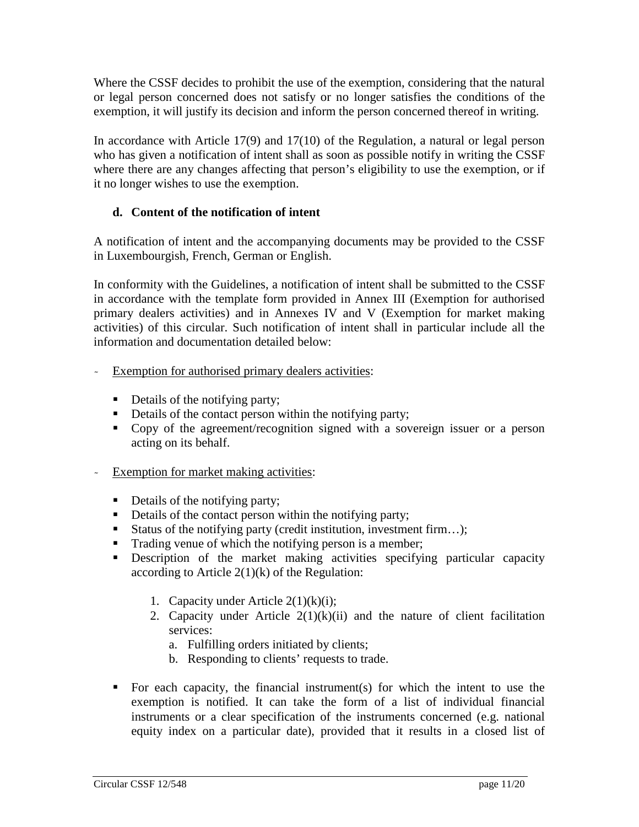Where the CSSF decides to prohibit the use of the exemption, considering that the natural or legal person concerned does not satisfy or no longer satisfies the conditions of the exemption, it will justify its decision and inform the person concerned thereof in writing.

In accordance with Article 17(9) and 17(10) of the Regulation, a natural or legal person who has given a notification of intent shall as soon as possible notify in writing the CSSF where there are any changes affecting that person's eligibility to use the exemption, or if it no longer wishes to use the exemption.

## **d. Content of the notification of intent**

A notification of intent and the accompanying documents may be provided to the CSSF in Luxembourgish, French, German or English.

In conformity with the Guidelines, a notification of intent shall be submitted to the CSSF in accordance with the template form provided in Annex III (Exemption for authorised primary dealers activities) and in Annexes IV and V (Exemption for market making activities) of this circular. Such notification of intent shall in particular include all the information and documentation detailed below:

- Exemption for authorised primary dealers activities:
	- Details of the notifying party;
	- Details of the contact person within the notifying party;
	- Copy of the agreement/recognition signed with a sovereign issuer or a person acting on its behalf.
- Exemption for market making activities:
	- Details of the notifying party;
	- Details of the contact person within the notifying party;
	- Status of the notifying party (credit institution, investment firm...);
	- Trading venue of which the notifying person is a member;
	- Description of the market making activities specifying particular capacity according to Article  $2(1)(k)$  of the Regulation:
		- 1. Capacity under Article  $2(1)(k)(i)$ ;
		- 2. Capacity under Article  $2(1)(k)(ii)$  and the nature of client facilitation services:
			- a. Fulfilling orders initiated by clients;
			- b. Responding to clients' requests to trade.
	- For each capacity, the financial instrument(s) for which the intent to use the exemption is notified. It can take the form of a list of individual financial instruments or a clear specification of the instruments concerned (e.g. national equity index on a particular date), provided that it results in a closed list of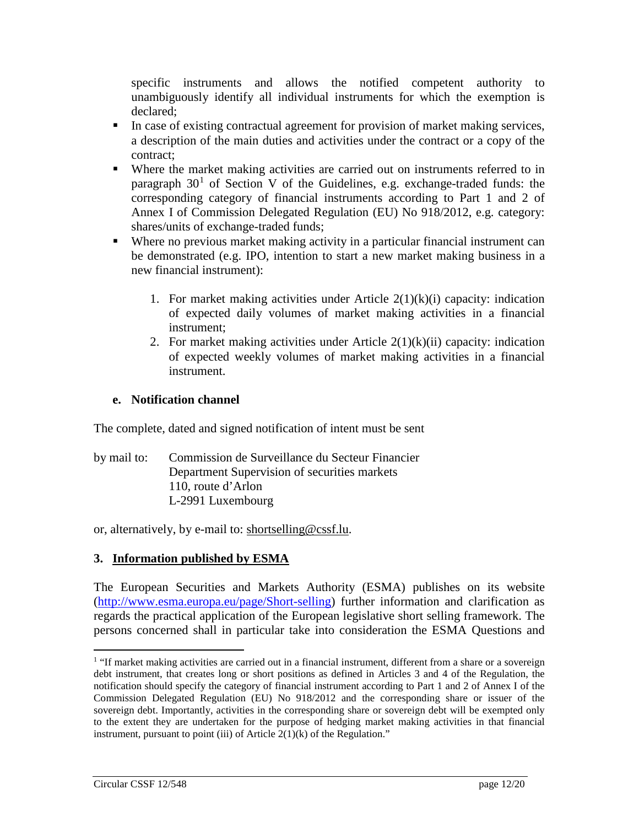specific instruments and allows the notified competent authority to unambiguously identify all individual instruments for which the exemption is declared;

- In case of existing contractual agreement for provision of market making services, a description of the main duties and activities under the contract or a copy of the contract;
- Where the market making activities are carried out on instruments referred to in paragraph  $30<sup>1</sup>$  $30<sup>1</sup>$  $30<sup>1</sup>$  of Section V of the Guidelines, e.g. exchange-traded funds: the corresponding category of financial instruments according to Part 1 and 2 of Annex I of Commission Delegated Regulation (EU) No 918/2012, e.g. category: shares/units of exchange-traded funds;
- Where no previous market making activity in a particular financial instrument can be demonstrated (e.g. IPO, intention to start a new market making business in a new financial instrument):
	- 1. For market making activities under Article  $2(1)(k)(i)$  capacity: indication of expected daily volumes of market making activities in a financial instrument;
	- 2. For market making activities under Article  $2(1)(k)(ii)$  capacity: indication of expected weekly volumes of market making activities in a financial instrument.

## **e. Notification channel**

The complete, dated and signed notification of intent must be sent

by mail to: Commission de Surveillance du Secteur Financier Department Supervision of securities markets 110, route d'Arlon L-2991 Luxembourg

or, alternatively, by e-mail to: [shortselling@cssf.lu.](mailto:shortselling@cssf.lu)

## **3. Information published by ESMA**

The European Securities and Markets Authority (ESMA) publishes on its website [\(http://www.esma.europa.eu/page/Short-selling\)](http://www.esma.europa.eu/page/Short-selling) further information and clarification as regards the practical application of the European legislative short selling framework. The persons concerned shall in particular take into consideration the ESMA Questions and

<span id="page-11-0"></span><sup>&</sup>lt;sup>1</sup> "If market making activities are carried out in a financial instrument, different from a share or a sovereign debt instrument, that creates long or short positions as defined in Articles 3 and 4 of the Regulation, the notification should specify the category of financial instrument according to Part 1 and 2 of Annex I of the Commission Delegated Regulation (EU) No 918/2012 and the corresponding share or issuer of the sovereign debt. Importantly, activities in the corresponding share or sovereign debt will be exempted only to the extent they are undertaken for the purpose of hedging market making activities in that financial instrument, pursuant to point (iii) of Article  $2(1)(k)$  of the Regulation."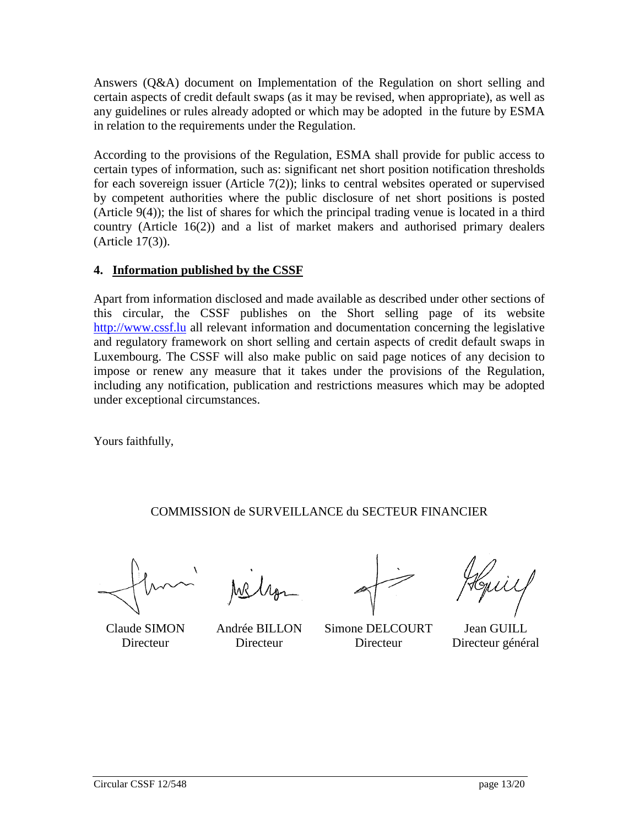Answers (Q&A) document on Implementation of the Regulation on short selling and certain aspects of credit default swaps (as it may be revised, when appropriate), as well as any guidelines or rules already adopted or which may be adopted in the future by ESMA in relation to the requirements under the Regulation.

According to the provisions of the Regulation, ESMA shall provide for public access to certain types of information, such as: significant net short position notification thresholds for each sovereign issuer (Article 7(2)); links to central websites operated or supervised by competent authorities where the public disclosure of net short positions is posted (Article 9(4)); the list of shares for which the principal trading venue is located in a third country (Article 16(2)) and a list of market makers and authorised primary dealers (Article 17(3)).

## **4. Information published by the CSSF**

Apart from information disclosed and made available as described under other sections of this circular, the CSSF publishes on the Short selling page of its website [http://www.cssf.lu](http://www.cssf.lu/) all relevant information and documentation concerning the legislative and regulatory framework on short selling and certain aspects of credit default swaps in Luxembourg. The CSSF will also make public on said page notices of any decision to impose or renew any measure that it takes under the provisions of the Regulation, including any notification, publication and restrictions measures which may be adopted under exceptional circumstances.

Yours faithfully,

COMMISSION de SURVEILLANCE du SECTEUR FINANCIER

Claude SIMON Andrée BILLON Simone DELCOURT Jean GUILL Directeur Directeur Directeur Directeur général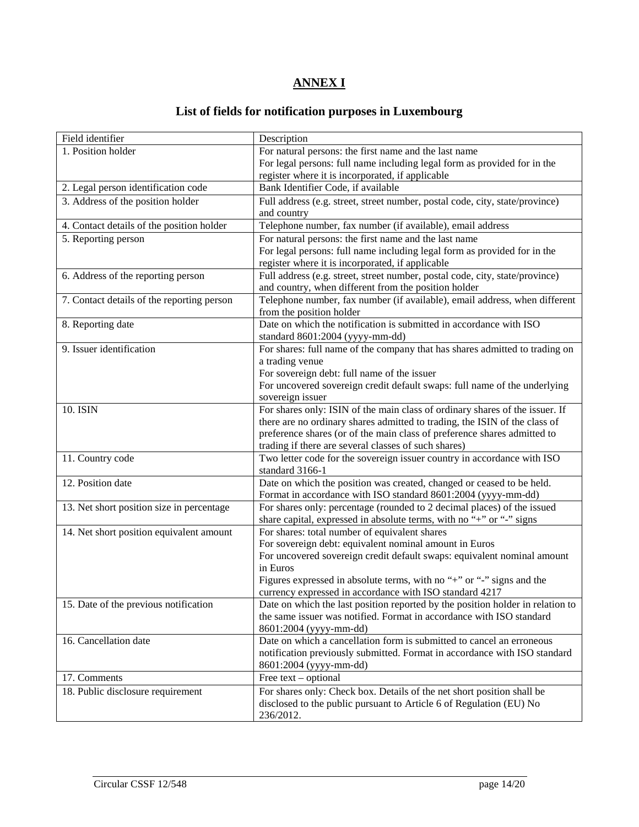# **ANNEX I**

# **List of fields for notification purposes in Luxembourg**

| Field identifier                           | Description                                                                                                                  |  |
|--------------------------------------------|------------------------------------------------------------------------------------------------------------------------------|--|
| 1. Position holder                         | For natural persons: the first name and the last name                                                                        |  |
|                                            | For legal persons: full name including legal form as provided for in the                                                     |  |
|                                            | register where it is incorporated, if applicable                                                                             |  |
| 2. Legal person identification code        | Bank Identifier Code, if available                                                                                           |  |
| 3. Address of the position holder          | Full address (e.g. street, street number, postal code, city, state/province)                                                 |  |
|                                            | and country                                                                                                                  |  |
| 4. Contact details of the position holder  | Telephone number, fax number (if available), email address                                                                   |  |
| 5. Reporting person                        | For natural persons: the first name and the last name                                                                        |  |
|                                            | For legal persons: full name including legal form as provided for in the<br>register where it is incorporated, if applicable |  |
|                                            |                                                                                                                              |  |
| 6. Address of the reporting person         | Full address (e.g. street, street number, postal code, city, state/province)                                                 |  |
|                                            | and country, when different from the position holder                                                                         |  |
| 7. Contact details of the reporting person | Telephone number, fax number (if available), email address, when different                                                   |  |
|                                            | from the position holder                                                                                                     |  |
| 8. Reporting date                          | Date on which the notification is submitted in accordance with ISO                                                           |  |
| 9. Issuer identification                   | standard 8601:2004 (yyyy-mm-dd)                                                                                              |  |
|                                            | For shares: full name of the company that has shares admitted to trading on                                                  |  |
|                                            | a trading venue<br>For sovereign debt: full name of the issuer                                                               |  |
|                                            |                                                                                                                              |  |
|                                            | For uncovered sovereign credit default swaps: full name of the underlying<br>sovereign issuer                                |  |
| 10. ISIN                                   | For shares only: ISIN of the main class of ordinary shares of the issuer. If                                                 |  |
|                                            | there are no ordinary shares admitted to trading, the ISIN of the class of                                                   |  |
|                                            | preference shares (or of the main class of preference shares admitted to                                                     |  |
|                                            | trading if there are several classes of such shares)                                                                         |  |
| 11. Country code                           | Two letter code for the sovereign issuer country in accordance with ISO                                                      |  |
|                                            | standard 3166-1                                                                                                              |  |
| 12. Position date                          | Date on which the position was created, changed or ceased to be held.                                                        |  |
|                                            | Format in accordance with ISO standard 8601:2004 (yyyy-mm-dd)                                                                |  |
| 13. Net short position size in percentage  | For shares only: percentage (rounded to 2 decimal places) of the issued                                                      |  |
|                                            | share capital, expressed in absolute terms, with no "+" or "-" signs                                                         |  |
| 14. Net short position equivalent amount   | For shares: total number of equivalent shares                                                                                |  |
|                                            | For sovereign debt: equivalent nominal amount in Euros                                                                       |  |
|                                            | For uncovered sovereign credit default swaps: equivalent nominal amount                                                      |  |
|                                            | in Euros                                                                                                                     |  |
|                                            | Figures expressed in absolute terms, with no "+" or "-" signs and the                                                        |  |
|                                            | currency expressed in accordance with ISO standard 4217                                                                      |  |
| 15. Date of the previous notification      | Date on which the last position reported by the position holder in relation to                                               |  |
|                                            | the same issuer was notified. Format in accordance with ISO standard                                                         |  |
|                                            | 8601:2004 (yyyy-mm-dd)                                                                                                       |  |
| 16. Cancellation date                      | Date on which a cancellation form is submitted to cancel an erroneous                                                        |  |
|                                            | notification previously submitted. Format in accordance with ISO standard                                                    |  |
|                                            | 8601:2004 (yyyy-mm-dd)                                                                                                       |  |
| 17. Comments                               | Free text – optional                                                                                                         |  |
| 18. Public disclosure requirement          | For shares only: Check box. Details of the net short position shall be                                                       |  |
|                                            | disclosed to the public pursuant to Article 6 of Regulation (EU) No                                                          |  |
|                                            | 236/2012.                                                                                                                    |  |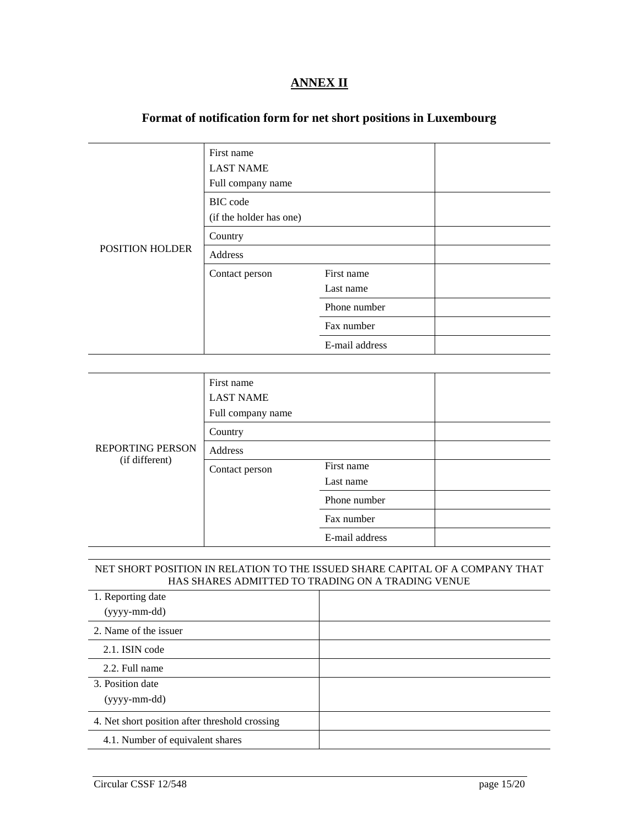## **ANNEX II**

## **Format of notification form for net short positions in Luxembourg**

|                        | First name<br><b>LAST NAME</b><br>Full company name |                         |  |
|------------------------|-----------------------------------------------------|-------------------------|--|
|                        | <b>BIC</b> code<br>(if the holder has one)          |                         |  |
|                        | Country                                             |                         |  |
| <b>POSITION HOLDER</b> | Address                                             |                         |  |
|                        | Contact person                                      | First name<br>Last name |  |
|                        |                                                     | Phone number            |  |
|                        |                                                     | Fax number              |  |
|                        |                                                     | E-mail address          |  |

|                         | First name<br><b>LAST NAME</b><br>Full company name |                |  |
|-------------------------|-----------------------------------------------------|----------------|--|
|                         | Country                                             |                |  |
| <b>REPORTING PERSON</b> | Address                                             |                |  |
| (if different)          | Contact person                                      | First name     |  |
|                         |                                                     | Last name      |  |
|                         |                                                     | Phone number   |  |
|                         |                                                     | Fax number     |  |
|                         |                                                     | E-mail address |  |

### NET SHORT POSITION IN RELATION TO THE ISSUED SHARE CAPITAL OF A COMPANY THAT HAS SHARES ADMITTED TO TRADING ON A TRADING VENUE

| 1. Reporting date                              |  |
|------------------------------------------------|--|
| $(yyyymm-dd)$                                  |  |
| 2. Name of the issuer                          |  |
| 2.1. ISIN code                                 |  |
| 2.2. Full name                                 |  |
| 3. Position date                               |  |
| (yyyy-mm-dd)                                   |  |
| 4. Net short position after threshold crossing |  |
| 4.1. Number of equivalent shares               |  |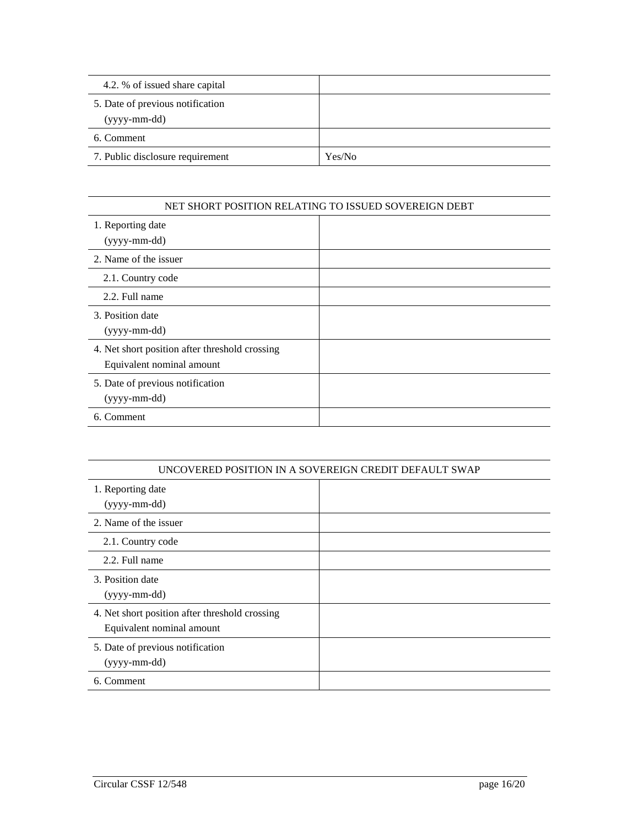| 4.2. % of issued share capital                   |        |
|--------------------------------------------------|--------|
| 5. Date of previous notification<br>(yyyy-mm-dd) |        |
| 6. Comment                                       |        |
| 7. Public disclosure requirement                 | Yes/No |

### NET SHORT POSITION RELATING TO ISSUED SOVEREIGN DEBT

| UNCOVERED POSITION IN A SOVEREIGN CREDIT DEFAULT SWAP                       |  |
|-----------------------------------------------------------------------------|--|
| 1. Reporting date<br>(yyyy-mm-dd)                                           |  |
| 2. Name of the issuer                                                       |  |
| 2.1. Country code                                                           |  |
| 2.2. Full name                                                              |  |
| 3. Position date<br>(yyyy-mm-dd)                                            |  |
| 4. Net short position after threshold crossing<br>Equivalent nominal amount |  |
| 5. Date of previous notification<br>(yyyy-mm-dd)                            |  |
| 6. Comment                                                                  |  |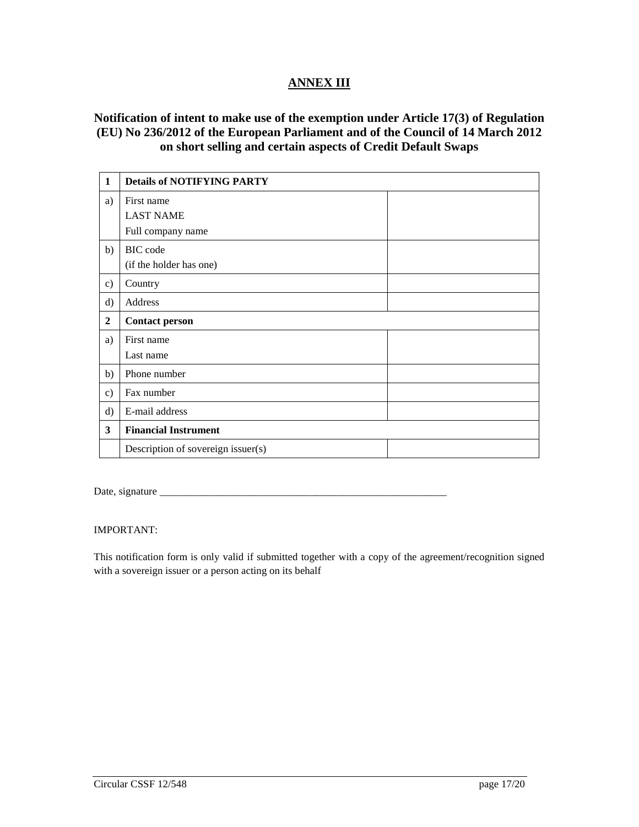## **ANNEX III**

## **Notification of intent to make use of the exemption under Article 17(3) of Regulation (EU) No 236/2012 of the European Parliament and of the Council of 14 March 2012 on short selling and certain aspects of Credit Default Swaps**

| 1                | <b>Details of NOTIFYING PARTY</b>  |  |
|------------------|------------------------------------|--|
| a)               | First name                         |  |
|                  | <b>LAST NAME</b>                   |  |
|                  | Full company name                  |  |
| b)               | BIC code                           |  |
|                  | (if the holder has one)            |  |
| $\mathbf{c})$    | Country                            |  |
| $\rm d)$         | Address                            |  |
| $\boldsymbol{2}$ | <b>Contact person</b>              |  |
| a)               | First name                         |  |
|                  | Last name                          |  |
| b)               | Phone number                       |  |
| c)               | Fax number                         |  |
| $\rm d$          | E-mail address                     |  |
| 3                | <b>Financial Instrument</b>        |  |
|                  | Description of sovereign issuer(s) |  |

Date, signature \_\_\_\_\_\_\_\_\_\_\_\_\_\_\_\_\_\_\_\_\_\_\_\_\_\_\_\_\_\_\_\_\_\_\_\_\_\_\_\_\_\_\_\_\_\_\_\_\_\_\_\_\_\_\_

IMPORTANT:

This notification form is only valid if submitted together with a copy of the agreement/recognition signed with a sovereign issuer or a person acting on its behalf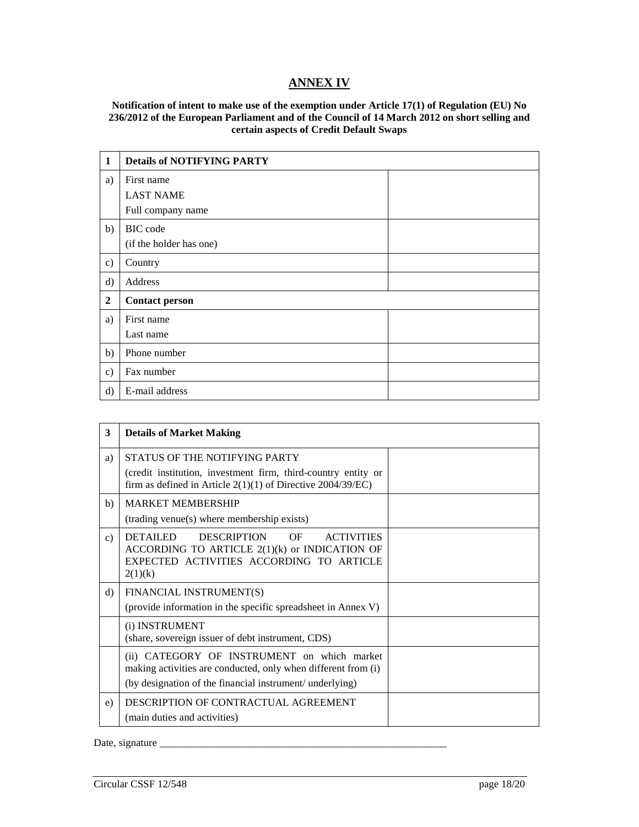## **ANNEX IV**

### **Notification of intent to make use of the exemption under Article 17(1) of Regulation (EU) No 236/2012 of the European Parliament and of the Council of 14 March 2012 on short selling and certain aspects of Credit Default Swaps**

| $\mathbf{1}$     | <b>Details of NOTIFYING PARTY</b> |
|------------------|-----------------------------------|
| a)               | First name                        |
|                  | <b>LAST NAME</b>                  |
|                  | Full company name                 |
| b)               | <b>BIC</b> code                   |
|                  | (if the holder has one)           |
| $\mathbf{c})$    | Country                           |
| $\rm d$          | Address                           |
| $\boldsymbol{2}$ | <b>Contact person</b>             |
| a)               | First name                        |
|                  | Last name                         |
| b)               | Phone number                      |
| $\mathbf{c})$    | Fax number                        |
| $\rm d$          | E-mail address                    |

| 3              | <b>Details of Market Making</b>                                                                                                                                            |  |
|----------------|----------------------------------------------------------------------------------------------------------------------------------------------------------------------------|--|
| a)             | STATUS OF THE NOTIFYING PARTY<br>(credit institution, investment firm, third-country entity or<br>firm as defined in Article $2(1)(1)$ of Directive 2004/39/EC)            |  |
| b)             | <b>MARKET MEMBERSHIP</b><br>(trading venue(s) where membership exists)                                                                                                     |  |
| $\mathbf{c}$ ) | <b>DETAILED</b><br><b>DESCRIPTION</b><br>OF<br><b>ACTIVITIES</b><br>ACCORDING TO ARTICLE $2(1)(k)$ or INDICATION OF<br>EXPECTED ACTIVITIES ACCORDING TO ARTICLE<br>2(1)(k) |  |
| $\rm d$        | FINANCIAL INSTRUMENT(S)<br>(provide information in the specific spreadsheet in Annex V)                                                                                    |  |
|                | (i) INSTRUMENT<br>(share, sovereign issuer of debt instrument, CDS)                                                                                                        |  |
|                | (ii) CATEGORY OF INSTRUMENT on which market<br>making activities are conducted, only when different from (i)<br>(by designation of the financial instrument/ underlying)   |  |
| e)             | DESCRIPTION OF CONTRACTUAL AGREEMENT<br>(main duties and activities)                                                                                                       |  |

Date, signature \_\_\_\_\_\_\_\_\_\_\_\_\_\_\_\_\_\_\_\_\_\_\_\_\_\_\_\_\_\_\_\_\_\_\_\_\_\_\_\_\_\_\_\_\_\_\_\_\_\_\_\_\_\_\_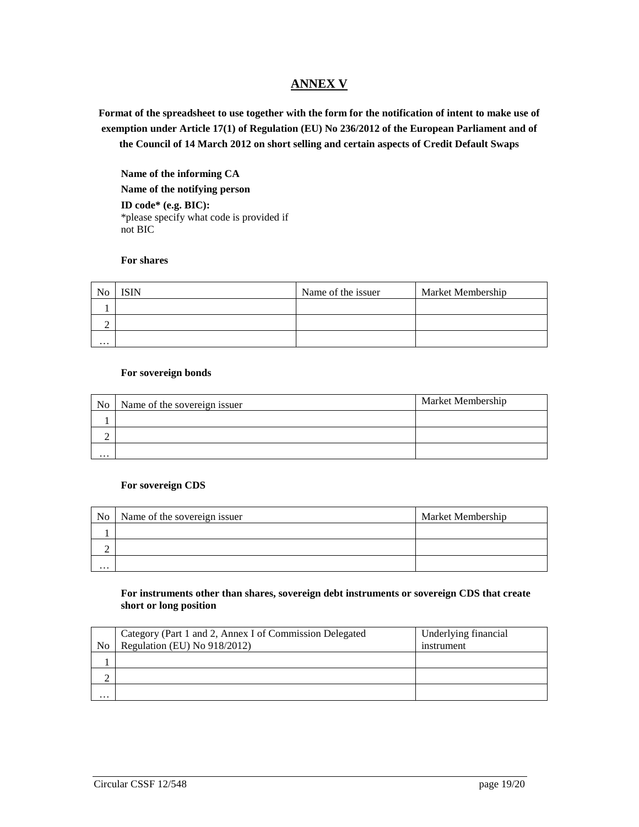## **ANNEX V**

**Format of the spreadsheet to use together with the form for the notification of intent to make use of exemption under Article 17(1) of Regulation (EU) No 236/2012 of the European Parliament and of the Council of 14 March 2012 on short selling and certain aspects of Credit Default Swaps**

**Name of the informing CA Name of the notifying person**

**ID code\* (e.g. BIC):** \*please specify what code is provided if not BIC

### **For shares**

| N <sub>0</sub> | <b>ISIN</b> | Name of the issuer | Market Membership |
|----------------|-------------|--------------------|-------------------|
|                |             |                    |                   |
|                |             |                    |                   |
| $\cdots$       |             |                    |                   |

#### **For sovereign bonds**

| No       | Name of the sovereign issuer | Market Membership |
|----------|------------------------------|-------------------|
|          |                              |                   |
| -        |                              |                   |
| $\cdots$ |                              |                   |

#### **For sovereign CDS**

| N <sub>o</sub> | Name of the sovereign issuer | Market Membership |
|----------------|------------------------------|-------------------|
|                |                              |                   |
|                |                              |                   |
| $\cdots$       |                              |                   |

#### **For instruments other than shares, sovereign debt instruments or sovereign CDS that create short or long position**

|                | Category (Part 1 and 2, Annex I of Commission Delegated | Underlying financial |
|----------------|---------------------------------------------------------|----------------------|
| N <sub>0</sub> | Regulation (EU) No 918/2012)                            | instrument           |
|                |                                                         |                      |
|                |                                                         |                      |
| $\cdots$       |                                                         |                      |